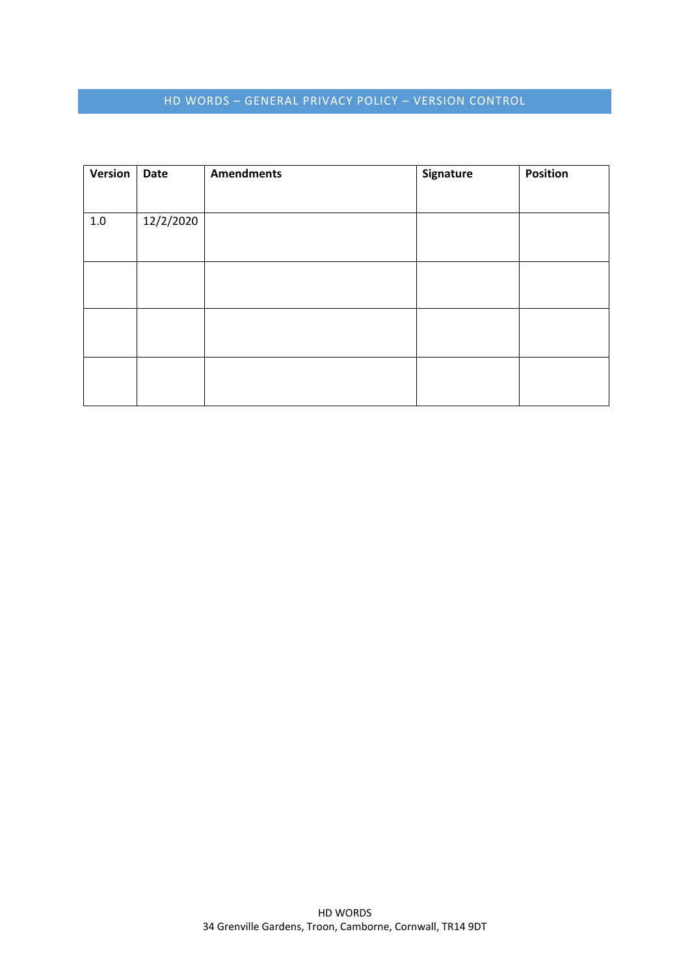# HD WORDS – GENERAL PRIVACY POLICY – VERSION CONTROL

| <b>Version</b> | <b>Date</b> | <b>Amendments</b> | Signature | Position |
|----------------|-------------|-------------------|-----------|----------|
|                |             |                   |           |          |
| 1.0            | 12/2/2020   |                   |           |          |
|                |             |                   |           |          |
|                |             |                   |           |          |
|                |             |                   |           |          |
|                |             |                   |           |          |
|                |             |                   |           |          |
|                |             |                   |           |          |
|                |             |                   |           |          |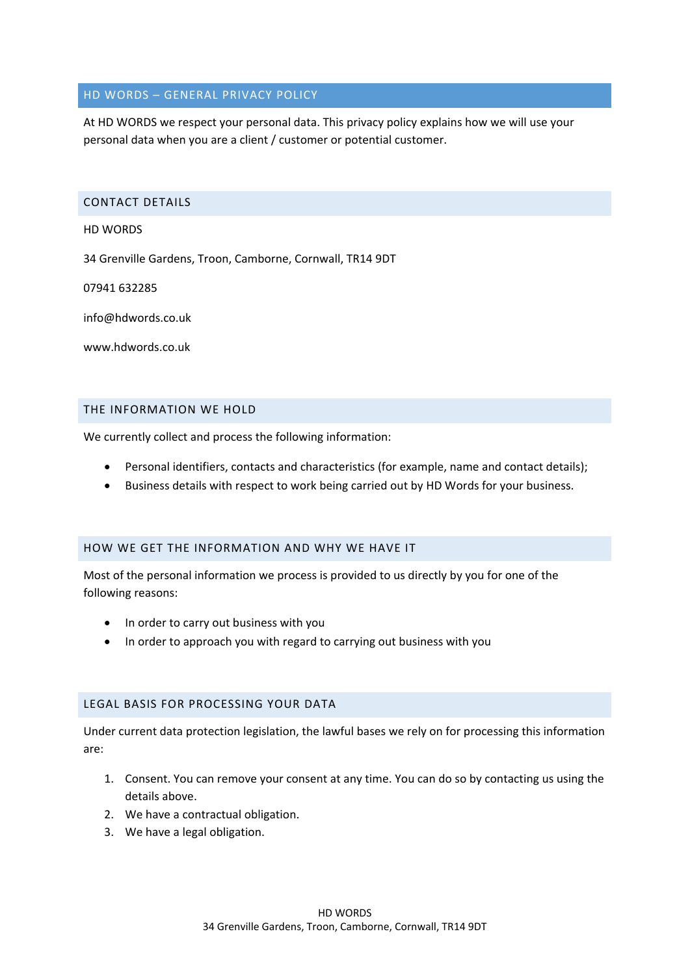# HD WORDS – GENERAL PRIVACY POLICY

At HD WORDS we respect your personal data. This privacy policy explains how we will use your personal data when you are a client / customer or potential customer.

#### CONTACT DETAILS

HD WORDS

34 Grenville Gardens, Troon, Camborne, Cornwall, TR14 9DT

07941 632285

info@hdwords.co.uk

www.hdwords.co.uk

### THE INFORMATION WE HOLD

We currently collect and process the following information:

- Personal identifiers, contacts and characteristics (for example, name and contact details);
- Business details with respect to work being carried out by HD Words for your business.

### HOW WE GET THE INFORMATION AND WHY WE HAVE IT

Most of the personal information we process is provided to us directly by you for one of the following reasons:

- In order to carry out business with you
- In order to approach you with regard to carrying out business with you

# LEGAL BASIS FOR PROCESSING YOUR DATA

Under current data protection legislation, the lawful bases we rely on for processing this information are:

- 1. Consent. You can remove your consent at any time. You can do so by contacting us using the details above.
- 2. We have a contractual obligation.
- 3. We have a legal obligation.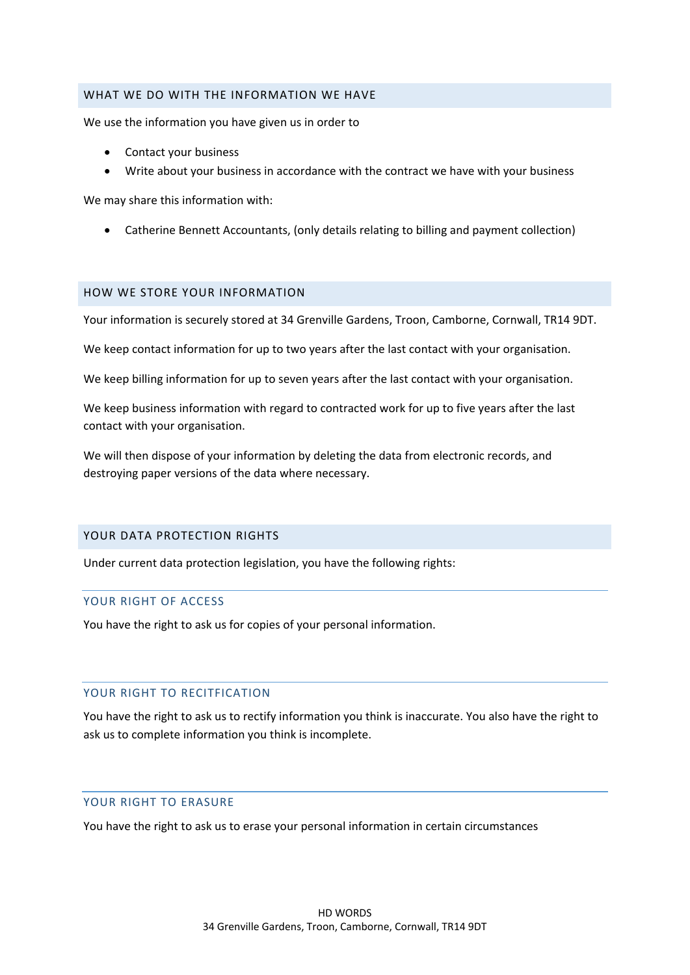#### WHAT WE DO WITH THE INFORMATION WE HAVE

We use the information you have given us in order to

- Contact your business
- Write about your business in accordance with the contract we have with your business

We may share this information with:

Catherine Bennett Accountants, (only details relating to billing and payment collection)

#### HOW WE STORE YOUR INFORMATION

Your information is securely stored at 34 Grenville Gardens, Troon, Camborne, Cornwall, TR14 9DT.

We keep contact information for up to two years after the last contact with your organisation.

We keep billing information for up to seven years after the last contact with your organisation.

We keep business information with regard to contracted work for up to five years after the last contact with your organisation.

We will then dispose of your information by deleting the data from electronic records, and destroying paper versions of the data where necessary.

### YOUR DATA PROTECTION RIGHTS

Under current data protection legislation, you have the following rights:

### YOUR RIGHT OF ACCESS

You have the right to ask us for copies of your personal information.

### YOUR RIGHT TO RECITFICATION

You have the right to ask us to rectify information you think is inaccurate. You also have the right to ask us to complete information you think is incomplete.

#### YOUR RIGHT TO ERASURE

You have the right to ask us to erase your personal information in certain circumstances